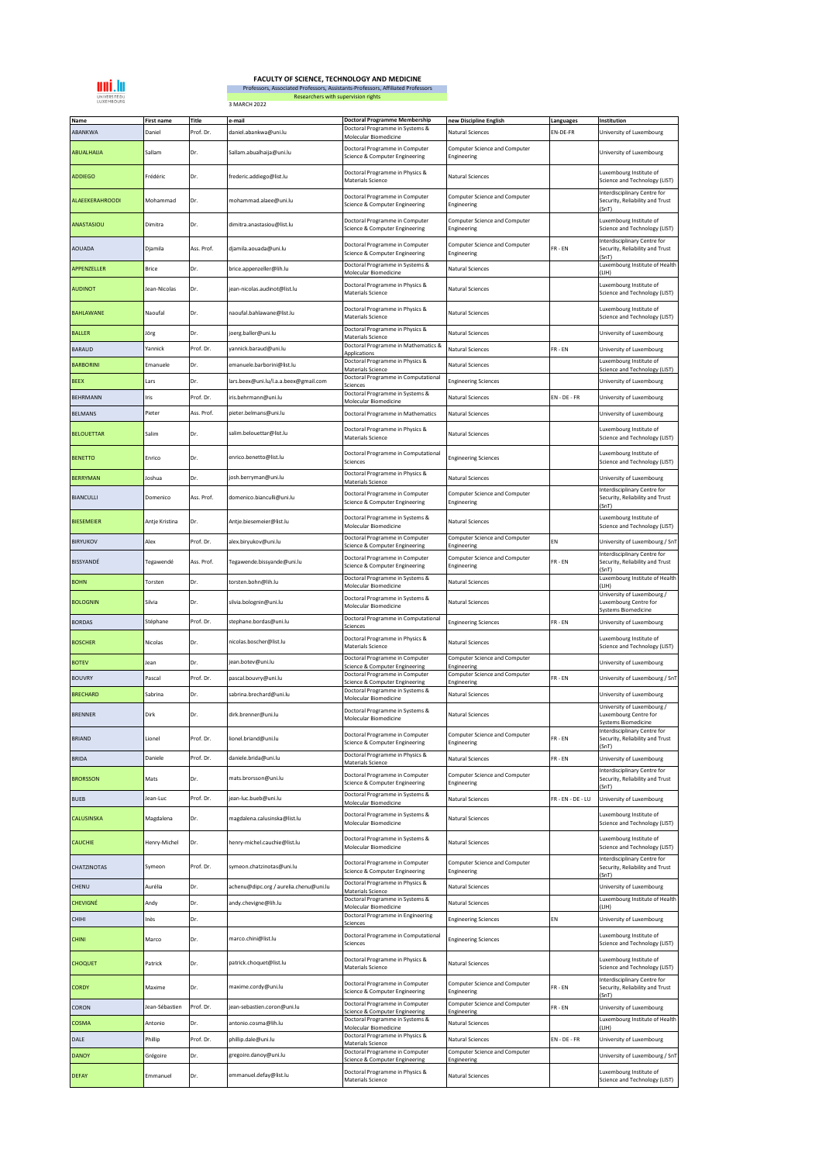

## **FACULTY OF SCIENCE, TECHNOLOGY AND MEDICINE**

3 MARCH 2022 Professors, Associated Professors, Assistants-Professors, Affiliated Professors Researchers with supervision rights

| Name<br>ABANKWA   | <b>First name</b><br>Daniel | Title<br>Prof. Dr. | e-mail<br>daniel.abankwa@uni.lu        | <b>Doctoral Programme Membership</b><br>Doctoral Programme in Systems &                       | new Discipline English<br><b>Natural Sciences</b>   | Languages<br>EN-DE-FR | Institution<br>University of Luxembourg                                                          |
|-------------------|-----------------------------|--------------------|----------------------------------------|-----------------------------------------------------------------------------------------------|-----------------------------------------------------|-----------------------|--------------------------------------------------------------------------------------------------|
| ABUALHAIJA        | Sallam                      | Dr.                | Sallam.abualhaija@uni.lu               | Molecular Biomedicine<br>Doctoral Programme in Computer                                       | Computer Science and Computer<br>Engineering        |                       | University of Luxembourg                                                                         |
| <b>ADDIEGO</b>    | Frédéric                    | Dr.                | frederic.addiego@list.lu               | Science & Computer Engineering<br>Doctoral Programme in Physics &                             | <b>Natural Sciences</b>                             |                       | Luxembourg Institute of                                                                          |
| ALAEEKERAHROODI   | Mohammad                    | Dr.                | mohammad.alaee@uni.lu                  | Materials Science<br>Doctoral Programme in Computer                                           | Computer Science and Computer                       |                       | Science and Technology (LIST)<br>Interdisciplinary Centre for<br>Security, Reliability and Trust |
| ANASTASIOU        | Dimitra                     | Dr.                | dimitra.anastasiou@list.lu             | Science & Computer Engineering<br>Doctoral Programme in Computer                              | Engineering<br><b>Computer Science and Computer</b> |                       | (SnT)<br>uxembourg Institute of                                                                  |
| AOUADA            | Djamila                     | Ass. Prof.         | djamila.aouada@uni.lu                  | Science & Computer Engineering<br>Doctoral Programme in Computer                              | Engineering<br><b>Computer Science and Computer</b> | FR-EN                 | Science and Technology (LIST)<br>Interdisciplinary Centre for<br>Security, Reliability and Trust |
| APPENZELLER       | Brice                       | Dr.                | brice.appenzeller@lih.lu               | Science & Computer Engineering<br>Doctoral Programme in Systems &                             | Engineering<br>Natural Sciences                     |                       | (SnT)<br>Luxembourg Institute of Health                                                          |
| <b>AUDINOT</b>    | Jean-Nicolas                | Dr.                | jean-nicolas.audinot@list.lu           | Molecular Biomedicine<br>Doctoral Programme in Physics &                                      | <b>Natural Sciences</b>                             |                       | (LIH)<br>Luxembourg Institute of                                                                 |
|                   |                             |                    |                                        | <b>Materials Science</b><br>Doctoral Programme in Physics &                                   |                                                     |                       | Science and Technology (LIST)<br>Luxembourg Institute of                                         |
| <b>BAHLAWANE</b>  | Naoufal                     | Dr.                | naoufal.bahlawane@list.lu              | Materials Science<br>Doctoral Programme in Physics &                                          | <b>Natural Sciences</b>                             |                       | Science and Technology (LIST)                                                                    |
| <b>BALLER</b>     | Jörg                        | Dr.                | oerg.baller@uni.lu                     | Materials Scienc<br>Doctoral Programme in Mathematics &                                       | Natural Sciences                                    |                       | University of Luxembourg                                                                         |
| <b>BARAUD</b>     | Yannick                     | Prof. Dr.          | yannick.baraud@uni.lu                  | <b>Applications</b><br>Doctoral Programme in Physics &                                        | <b>Natural Sciences</b>                             | FR-EN                 | University of Luxembourg<br>Luxembourg Institute of                                              |
| <b>BARBORINI</b>  | Emanuele                    | Dr.                | emanuele.barborini@list.lu             | <b>Materials Science</b><br>Doctoral Programme in Computational                               | <b>Natural Sciences</b>                             |                       | Science and Technology (LIST)                                                                    |
| <b>BEEX</b>       | Lars                        | Dr.                | lars.beex@uni.lu/l.a.a.beex@gmail.com  | <b>Sciences</b>                                                                               | <b>Engineering Sciences</b>                         |                       | University of Luxembourg                                                                         |
| <b>BEHRMANN</b>   | Iris                        | Prof. Dr.          | iris.behrmann@uni.lu                   | Doctoral Programme in Systems &<br>Molecular Biomedicine                                      | <b>Natural Sciences</b>                             | $EN - DE - FR$        | University of Luxembourg                                                                         |
| <b>BELMANS</b>    | Pieter                      | Ass. Prof.         | pieter.belmans@uni.lu                  | Doctoral Programme in Mathematics                                                             | Natural Sciences                                    |                       | University of Luxembourg                                                                         |
| <b>BELOUETTAR</b> | Salim                       | Dr.                | salim.belouettar@list.lu               | Doctoral Programme in Physics &<br><b>Materials Science</b>                                   | Natural Sciences                                    |                       | Luxembourg Institute of<br>Science and Technology (LIST)                                         |
| <b>BENETTO</b>    | Enrico                      | Dr.                | enrico.benetto@list.lu                 | Doctoral Programme in Computational<br>Sciences                                               | <b>Engineering Sciences</b>                         |                       | Luxembourg Institute of<br>Science and Technology (LIST)                                         |
| <b>BERRYMAN</b>   | Joshua                      | Dr.                | josh.berryman@uni.lu                   | Doctoral Programme in Physics &<br><b>Materials Science</b>                                   | Natural Sciences                                    |                       | University of Luxembourg                                                                         |
| <b>BIANCULLI</b>  | Domenico                    | Ass. Prof.         | domenico.bianculli@uni.lu              | Doctoral Programme in Computer<br>Science & Computer Engineering                              | Computer Science and Computer<br>Engineering        |                       | Interdisciplinary Centre for<br>Security, Reliability and Trust<br>(SnT)                         |
| <b>BIESEMEIER</b> | Antje Kristina              | Dr.                | Antje.biesemeier@list.lu               | Doctoral Programme in Systems &<br>Molecular Biomedicine                                      | Natural Sciences                                    |                       | Luxembourg Institute of<br>Science and Technology (LIST)                                         |
| <b>BIRYUKOV</b>   | Alex                        | Prof. Dr.          | alex.biryukov@uni.lu                   | Doctoral Programme in Computer<br>Science & Computer Engineering                              | Computer Science and Computer<br>Engineering        | EN                    | University of Luxembourg / SnT                                                                   |
| BISSYANDÉ         | Tegawendé                   | Ass. Prof.         | Tegawende.bissyande@uni.lu             | Doctoral Programme in Computer<br>Science & Computer Engineering                              | <b>Computer Science and Computer</b><br>Engineering | FR-EN                 | Interdisciplinary Centre for<br>Security, Reliability and Trust<br>SnT)                          |
| <b>BOHN</b>       | Torsten                     | Dr.                | torsten.bohn@lih.lu                    | Doctoral Programme in Systems &<br>Molecular Biomedicine                                      | Natural Sciences                                    |                       | Luxembourg Institute of Health<br>LIH)                                                           |
| <b>BOLOGNIN</b>   | Silvia                      | Dr.                | silvia.bolognin@uni.lu                 | Doctoral Programme in Systems &<br>Molecular Biomedicine                                      | Natural Sciences                                    |                       | University of Luxembourg /<br>uxembourg Centre for                                               |
| <b>BORDAS</b>     | Stéphane                    | Prof. Dr.          | stephane.bordas@uni.lu                 | Doctoral Programme in Computational<br>Sciences                                               | <b>Engineering Sciences</b>                         | FR-EN                 | Systems Biomedicine<br>University of Luxembourg                                                  |
| <b>BOSCHER</b>    | Nicolas                     | Dr.                | nicolas.boscher@list.lu                | Doctoral Programme in Physics &<br>Materials Science                                          | <b>Natural Sciences</b>                             |                       | Luxembourg Institute of<br>Science and Technology (LIST)                                         |
| <b>BOTEV</b>      | Jean                        | Dr.                | jean.botev@uni.lu                      | Doctoral Programme in Computer<br>Science & Computer Engineering                              | Computer Science and Computer<br>Engineering        |                       | University of Luxembourg                                                                         |
| <b>BOUVRY</b>     | Pascal                      | Prof. Dr.          | pascal.bouvry@uni.lu                   | Doctoral Programme in Computer                                                                | <b>Computer Science and Computer</b>                | $FR - EN$             | University of Luxembourg / SnT                                                                   |
| <b>BRECHARD</b>   | Sabrina                     | Dr.                | sabrina.brechard@uni.lu                | Science & Computer Engineering<br>Doctoral Programme in Systems &                             | Engineering<br>Natural Sciences                     |                       | University of Luxembourg                                                                         |
| <b>BRENNER</b>    | Dirk                        | Dr.                | dirk.brenner@uni.lu                    | Molecular Biomedicine<br>Doctoral Programme in Systems &<br>Molecular Biomedicine             | Natural Sciences                                    |                       | University of Luxembourg /<br>Luxembourg Centre for                                              |
| <b>BRIAND</b>     | Lionel                      | Prof. Dr.          | lionel.briand@uni.lu                   | Doctoral Programme in Computer                                                                | Computer Science and Computer                       | FR-EN                 | <b>Systems Biomedicine</b><br>Interdisciplinary Centre for<br>Security, Reliability and Trust    |
| <b>BRIDA</b>      | Daniele                     | Prof. Dr.          | daniele.brida@uni.lu                   | Science & Computer Engineering<br>Doctoral Programme in Physics &<br><b>Materials Science</b> | Engineering<br><b>Natural Sciences</b>              | FR-EN                 | (SnT)<br>University of Luxembourg                                                                |
| <b>BRORSSON</b>   | Mats                        | Dr.                | mats.brorsson@uni.lu                   | Doctoral Programme in Computer<br>Science & Computer Engineering                              | Computer Science and Computer<br>Engineering        |                       | Interdisciplinary Centre for<br>Security, Reliability and Trust                                  |
| <b>BUEB</b>       | Jean-Luc                    | Prof. Dr.          | jean-luc.bueb@uni.lu                   | Doctoral Programme in Systems &<br>Molecular Biomedicine                                      | <b>Natural Sciences</b>                             | R - EN - DE - LU      | (SnT)<br>University of Luxembourg                                                                |
| CALUSINSKA        | Magdalena                   | Dr.                | magdalena.calusinska@list.lu           | Doctoral Programme in Systems &<br>Molecular Biomedicine                                      | <b>Natural Sciences</b>                             |                       | Luxembourg Institute of<br>Science and Technology (LIST)                                         |
| CAUCHIE           | Henry-Michel                | Dr.                | henry-michel.cauchie@list.lu           | Doctoral Programme in Systems &<br>Molecular Biomedicine                                      | Natural Sciences                                    |                       | Luxembourg Institute of<br>Science and Technology (LIST)                                         |
| CHATZINOTAS       | Symeon                      | Prof. Dr.          | symeon.chatzinotas@uni.lu              | Doctoral Programme in Computer<br>Science & Computer Engineering                              | Computer Science and Computer<br>Engineering        |                       | Interdisciplinary Centre for<br>Security, Reliability and Trust                                  |
| CHENU             | Aurélia                     | Dr.                | achenu@dipc.org / aurelia.chenu@uni.lu | Doctoral Programme in Physics &<br>Materials Science                                          | <b>Natural Sciences</b>                             |                       | (SnT)<br>University of Luxembourg                                                                |
| CHEVIGNÉ          | Andy                        | Dr.                | andy.chevigne@lih.lu                   | Doctoral Programme in Systems &<br>Molecular Biomedicine                                      | Natural Sciences                                    |                       | Luxembourg Institute of Health<br>(LIH)                                                          |
| CHIHI             | nès                         | Dr.                |                                        | Doctoral Programme in Engineering                                                             | <b>Engineering Sciences</b>                         | EN                    | University of Luxembourg                                                                         |
|                   |                             |                    |                                        | Sciences<br>Doctoral Programme in Computational                                               |                                                     |                       | Luxembourg Institute of                                                                          |
| <b>CHINI</b>      | Marco                       | Dr.                | marco.chini@list.lu                    | Sciences<br>Doctoral Programme in Physics &                                                   | <b>Engineering Sciences</b>                         |                       | Science and Technology (LIST)<br>Luxembourg Institute of                                         |
| <b>CHOQUET</b>    | Patrick                     | Dr.                | patrick.choquet@list.lu                | Materials Science                                                                             | Natural Sciences                                    |                       | Science and Technology (LIST)<br>Interdisciplinary Centre for                                    |
| <b>CORDY</b>      | Maxime                      | Dr.                | maxime.cordy@uni.lu                    | Doctoral Programme in Computer<br>Science & Computer Engineering                              | Computer Science and Computer<br>Engineering        | FR-EN                 | Security, Reliability and Trust<br>(SnT)                                                         |
| CORON             | Jean-Sébastien              | Prof. Dr.          | jean-sebastien.coron@uni.lu            | Doctoral Programme in Computer<br>Science & Computer Engineering                              | Computer Science and Computer<br>Engineering        | FR-EN                 | University of Luxembourg                                                                         |
| COSMA             | Antonio                     | Dr.                | antonio.cosma@lih.lu                   | Doctoral Programme in Systems &<br>Molecular Biomedicine                                      | Natural Sciences                                    |                       | Luxembourg Institute of Health<br>(LIH)                                                          |
| DALE              | Phillip                     | Prof. Dr.          | phillip.dale@uni.lu                    | Doctoral Programme in Physics &<br>Materials Science                                          | Natural Sciences                                    | $EN - DE - FR$        | University of Luxembourg                                                                         |
| <b>DANOY</b>      | Grégoire                    | Dr.                | gregoire.danoy@uni.lu                  | Doctoral Programme in Computer<br>Science & Computer Engineering                              | Computer Science and Computer<br>Engineering        |                       | University of Luxembourg / SnT                                                                   |
| <b>DEFAY</b>      | Emmanuel                    | Dr.                | emmanuel.defay@list.lu                 | Doctoral Programme in Physics &<br>Materials Science                                          | Natural Sciences                                    |                       | Luxembourg Institute of<br>Science and Technology (LIST)                                         |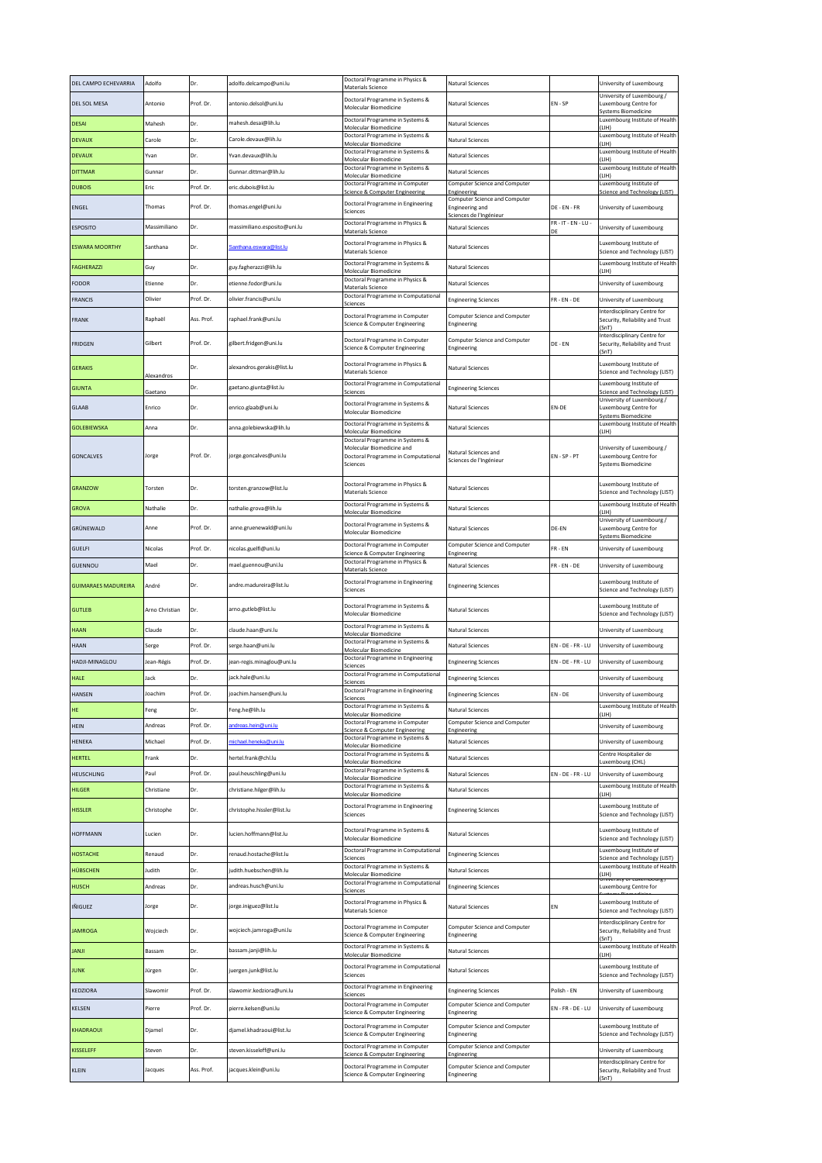| DEL CAMPO ECHEVARRIA       | Adolfo         | Dr.        | adolfo.delcampo@uni.lu       | Doctoral Programme in Physics &<br>Materials Science                                        | Natural Sciences                                            |                           | University of Luxembourg                                                                     |
|----------------------------|----------------|------------|------------------------------|---------------------------------------------------------------------------------------------|-------------------------------------------------------------|---------------------------|----------------------------------------------------------------------------------------------|
| <b>DEL SOL MESA</b>        | Antonio        | Prof. Dr.  | antonio.delsol@uni.lu        | Doctoral Programme in Systems &<br>Molecular Biomedicine                                    | Natural Sciences                                            | EN-SP                     | University of Luxembourg /<br>Luxembourg Centre for                                          |
| <b>DESAI</b>               | Mahesh         | Dr.        | mahesh.desai@lih.lu          | Doctoral Programme in Systems &<br>Molecular Biomedicine                                    | <b>Natural Sciences</b>                                     |                           | <b>Systems Biomedicine</b><br>Luxembourg Institute of Health<br>LIH)                         |
| <b>DEVAUX</b>              | Carole         | Dr.        | Carole.devaux@lih.lu         | Doctoral Programme in Systems &<br>Molecular Biomedicine                                    | Natural Sciences                                            |                           | Luxembourg Institute of Health<br>LIH)                                                       |
| <b>DEVAUX</b>              | Yvan           | Dr.        | Yvan.devaux@lih.lu           | Doctoral Programme in Systems &<br>Molecular Biomedicine                                    | Natural Sciences                                            |                           | Luxembourg Institute of Health                                                               |
| <b>DITTMAR</b>             | Gunnar         | Dr.        | Gunnar.dittmar@lih.lu        | Doctoral Programme in Systems &                                                             | Natural Sciences                                            |                           | (LIH)<br>Luxembourg Institute of Health                                                      |
| <b>DUBOIS</b>              | Eric           | Prof. Dr.  | eric.dubois@list.lu          | Molecular Biomedicine<br>Doctoral Programme in Computer<br>Science & Computer Engineering   | Computer Science and Computer<br>Engineering                |                           | (LIH)<br>Luxembourg Institute of<br>Science and Technology (LIST)                            |
| ENGEL                      | Thomas         | Prof. Dr.  | thomas.engel@uni.lu          | Doctoral Programme in Engineering                                                           | Computer Science and Computer<br><b>Engineering and</b>     | DE - EN - FR              | University of Luxembourg                                                                     |
| <b>ESPOSITO</b>            | Massimiliano   | Dr.        | massimiliano.esposito@uni.lu | Sciences<br>Doctoral Programme in Physics &                                                 | Sciences de l'Ingénieur<br>Natural Sciences                 | $FR - IT - EN - LU$       |                                                                                              |
|                            |                |            |                              | Materials Science<br>Doctoral Programme in Physics &                                        |                                                             | DE                        | University of Luxembourg<br>Luxembourg Institute of                                          |
| <b>ESWARA MOORTHY</b>      | Santhana       | Dr.        | anthana.eswara@list.lu       | Materials Science                                                                           | Natural Sciences                                            |                           | Science and Technology (LIST)<br>uxembourg Institute of Health                               |
| FAGHERAZZI                 | Guy            | Dr.        | guy.fagherazzi@lih.lu        | Doctoral Programme in Systems &<br>Molecular Biomedicine<br>Doctoral Programme in Physics & | Natural Sciences                                            |                           | (LIH)                                                                                        |
| FODOR                      | Etienne        | Dr.        | etienne.fodor@uni.lu         | Materials Science<br>Doctoral Programme in Computational                                    | <b>Natural Sciences</b>                                     |                           | University of Luxembourg                                                                     |
| <b>FRANCIS</b>             | Olivier        | Prof. Dr.  | olivier.francis@uni.lu       | Sciences                                                                                    | <b>Engineering Sciences</b>                                 | $FR - EN - DE$            | University of Luxembourg<br>Interdisciplinary Centre for                                     |
| FRANK                      | Raphaël        | Ass. Prof. | raphael.frank@uni.lu         | Doctoral Programme in Computer<br>Science & Computer Engineering                            | Computer Science and Computer<br>Engineering                |                           | Security, Reliability and Trust<br>(SnT)                                                     |
| FRIDGEN                    | Gilbert        | Prof. Dr.  | gilbert.fridgen@uni.lu       | Doctoral Programme in Computer<br>Science & Computer Engineering                            | Computer Science and Computer<br>Engineering                | DE - EN                   | Interdisciplinary Centre for<br>Security, Reliability and Trust<br>(SnT)                     |
| <b>GERAKIS</b>             | Alexandros     | Dr.        | alexandros.gerakis@list.lu   | Doctoral Programme in Physics &<br>Materials Science                                        | Natural Sciences                                            |                           | Luxembourg Institute of<br>Science and Technology (LIST)                                     |
| GIUNTA                     | Gaetano        | Dr.        | gaetano.giunta@list.lu       | Doctoral Programme in Computational<br>Science:                                             | <b>Engineering Sciences</b>                                 |                           | Luxembourg Institute of<br>Science and Technology (LIST)                                     |
| <b>GLAAB</b>               | Enrico         | Dr.        | enrico.glaab@uni.lu          | Doctoral Programme in Systems &<br>Molecular Biomedicine                                    | Natural Sciences                                            | EN-DE                     | University of Luxembourg /<br>Luxembourg Centre for                                          |
| GOLEBIEWSKA                | Anna           | Dr.        | anna.golebiewska@lih.lu      | Doctoral Programme in Systems &<br>Molecular Biomedicine                                    | Natural Sciences                                            |                           | <b>Systems Biomedicine</b><br>Luxembourg Institute of Health<br>(L H)                        |
|                            |                |            |                              | Doctoral Programme in Systems &<br>Molecular Biomedicine and                                | Natural Sciences and                                        |                           | University of Luxembourg /                                                                   |
| GONCALVES                  | Jorge          | Prof. Dr.  | jorge.goncalves@uni.lu       | Doctoral Programme in Computational<br>Sciences                                             | Sciences de l'Ingénieur                                     | $EN - SP - PT$            | Luxembourg Centre for<br><b>Systems Biomedicine</b>                                          |
| <b>GRANZOW</b>             | Torsten        | Dr.        | torsten.granzow@list.lu      | Doctoral Programme in Physics &                                                             | Natural Sciences                                            |                           | Luxembourg Institute of                                                                      |
| GROVA                      | Nathalie       | Dr.        | nathalie.grova@lih.lu        | Materials Science<br>Doctoral Programme in Systems &                                        | Natural Sciences                                            |                           | Science and Technology (LIST)<br>Luxembourg Institute of Health                              |
| GRÜNEWALD                  | Anne           | Prof. Dr.  | anne.gruenewald@uni.lu       | Molecular Biomedicine<br>Doctoral Programme in Systems &                                    | <b>Natural Sciences</b>                                     | DE-EN                     | LIH)<br>University of Luxembourg /<br>Luxembourg Centre for                                  |
|                            |                |            |                              | Molecular Biomedicine                                                                       |                                                             |                           | <b>Systems Biomedicine</b>                                                                   |
| <b>GUELFI</b>              | Nicolas        | Prof. Dr.  | nicolas.guelfi@uni.lu        | Doctoral Programme in Computer<br>Science & Computer Engineering                            | Computer Science and Computer<br>Engineering                | FR-EN                     | University of Luxembourg                                                                     |
| GUENNOU                    | Mael           | Dr.        | mael.guennou@uni.lu          | Doctoral Programme in Physics &<br>Materials Science                                        | Natural Sciences                                            | FR-EN-DE                  | University of Luxembourg                                                                     |
| <b>GUIMARAES MADUREIRA</b> | André          | Dr.        | andre.madureira@list.lu      | Doctoral Programme in Engineering<br>Sciences                                               | <b>Engineering Sciences</b>                                 |                           | Luxembourg Institute of<br>Science and Technology (LIST)                                     |
|                            |                |            |                              |                                                                                             |                                                             |                           |                                                                                              |
| <b>GUTLEB</b>              | Arno Christian | Dr.        | arno.gutleb@list.lu          | Doctoral Programme in Systems &<br>Molecular Biomedicine                                    | Natural Sciences                                            |                           | Luxembourg Institute of<br>Science and Technology (LIST)                                     |
| HAAN                       | Claude         | Dr.        | claude.haan@uni.lu           | Doctoral Programme in Systems &<br>Molecular Biomedicine                                    | Natural Sciences                                            |                           | University of Luxembourg                                                                     |
| HAAN                       | Serge          | Prof. Dr.  | serge.haan@uni.lu            | Doctoral Programme in Systems &<br>Molecular Biomedicine                                    | Natural Sciences                                            | $FN - DF - FR - IU$       | University of Luxembourg                                                                     |
| HADJI-MINAGLOU             | Jean-Régis     | Prof. Dr.  | jean-regis.minaglou@uni.lu   | Doctoral Programme in Engineering<br>Sciences                                               | <b>Engineering Sciences</b>                                 | EN - DE - FR - LU         | University of Luxembourg                                                                     |
| HALE                       | lack           | Dr.        | jack.hale@uni.lu             | Doctoral Programme in Computational<br>Sciences                                             | <b>Engineering Sciences</b>                                 |                           | University of Luxembourg                                                                     |
| <b>HANSEN</b>              |                | Prof. Dr.  | oachim.hansen@uni.lu         | Doctoral Programme in Engineering<br>Sciences                                               | Ingineering Scie                                            | $EN - DE$                 | University of Luxembourg                                                                     |
| HE                         | Feng           | Dr.        | Feng.he@lih.lu               | Doctoral Programme in Systems &<br>Molecular Biomedicine                                    | Natural Sciences                                            |                           | (LIH)                                                                                        |
| <b>HEIN</b>                | Andreas        | Prof. Dr.  | andreas.hein@uni.lu          | Doctoral Programme in Computer<br>Science & Computer Engineering                            | Computer Science and Computer<br>Engineering                |                           | University of Luxembourg                                                                     |
| HENEKA                     | Michael        | Prof. Dr.  | nichael.heneka@uni.lu        | Doctoral Programme in Systems &<br>Molecular Biomedicine                                    | Natural Sciences                                            |                           | University of Luxembourg                                                                     |
| HERTEL                     | Frank          | Dr.        | hertel.frank@chl.lu          | Doctoral Programme in Systems &<br>Molecular Biomedicine                                    | <b>Natural Sciences</b>                                     |                           | Centre Hospitalier de<br>Luxembourg (CHL)                                                    |
| HEUSCHLING                 | Paul           | Prof. Dr.  | paul.heuschling@uni.lu       | Doctoral Programme in Systems &<br>Molecular Biomedicine                                    | Natural Sciences                                            | $EN - DE - FR - LU$       | University of Luxembourg                                                                     |
| <b>HILGER</b>              | Christiane     | Dr.        | christiane.hilger@lih.lu     | Doctoral Programme in Systems &<br>Molecular Biomedicine                                    | Natural Sciences                                            |                           | Luxembourg Institute of Health<br>(LIH)                                                      |
| <b>HISSLER</b>             | Christophe     | Dr.        | christophe.hissler@list.lu   | Doctoral Programme in Engineering<br>Sciences                                               | <b>Engineering Sciences</b>                                 |                           | Luxembourg Institute of Health<br>Luxembourg Institute of<br>Science and Technology (LIST)   |
| <b>HOFFMANN</b>            | Lucien         | Dr.        | lucien.hoffmann@list.lu      | Doctoral Programme in Systems &<br>Molecular Biomedicine                                    | Natural Sciences                                            |                           | Luxembourg Institute of<br>Science and Technology (LIST)                                     |
| HOSTACHE                   | Renaud         | Dr.        | renaud.hostache@list.lu      | Doctoral Programme in Computational<br>Sciences                                             | <b>Engineering Sciences</b>                                 |                           | Luxembourg Institute of<br>Science and Technology (LIST)                                     |
| HÜBSCHEN                   | Judith         | Dr.        | judith.huebschen@lih.lu      | Doctoral Programme in Systems &<br>Molecular Biomedicine                                    | Natural Sciences                                            |                           | (I IH)                                                                                       |
| HUSCH                      | Andreas        | Dr.        | andreas.husch@uni.lu         | Doctoral Programme in Computational<br>Sciences                                             | <b>Engineering Sciences</b>                                 |                           | University or cuxembourg /<br>Luxembourg Centre for                                          |
| IÑIGUEZ                    | Jorge          | Dr.        | jorge.iniguez@list.lu        | Doctoral Programme in Physics &<br>Materials Science                                        | Natural Sciences                                            | EN                        | Luxembourg Institute of<br>Science and Technology (LIST)                                     |
| JAMROGA                    | Wojciech       | Dr.        | wojciech.jamroga@uni.lu      | Doctoral Programme in Computer<br>Science & Computer Engineering                            | Computer Science and Computer<br>Engineering                |                           | Interdisciplinary Centre for<br>Security, Reliability and Trust<br>(SnT)                     |
| <b>JANJI</b>               | Bassam         | Dr.        | bassam.janji@lih.lu          | Doctoral Programme in Systems &<br>Molecular Biomedicine                                    | <b>Natural Sciences</b>                                     |                           | (LIH)                                                                                        |
| <b>JUNK</b>                | Jürgen         | Dr.        | juergen.junk@list.lu         | Doctoral Programme in Computational<br>Sciences                                             | Natural Sciences                                            |                           | Luxembourg Institute of<br>Science and Technology (LIST)                                     |
| KEDZIORA                   | Slawomir       | Prof. Dr.  | slawomir.kedziora@uni.lu     | Doctoral Programme in Engineering                                                           | <b>Engineering Sciences</b>                                 | Polish - EN               | Luxembourg Institute of Health<br>Luxembourg Institute of Health<br>University of Luxembourg |
| KELSEN                     | Pierre         | Prof. Dr.  | pierre.kelsen@uni.lu         | Sciences<br>Doctoral Programme in Computer<br>Science & Computer Engineering                | Computer Science and Computer<br>Engineering                | $EN$ - $FR$ - $DE$ - $LU$ | University of Luxembourg                                                                     |
| KHADRAOUI                  | Djamel         | Dr.        | djamel.khadraoui@list.lu     | Doctoral Programme in Computer                                                              | Computer Science and Computer                               |                           | Luxembourg Institute of                                                                      |
| KISSELEFF                  | Steven         | Dr.        | steven.kisseleff@uni.lu      | Science & Computer Engineering<br>Doctoral Programme in Computer                            | Engineering<br>Computer Science and Computer                |                           | Science and Technology (LIST)                                                                |
| KLEIN                      | Jacques        | Ass. Prof. | jacques.klein@uni.lu         | Science & Computer Engineering<br>Doctoral Programme in Computer                            | Engineering<br>Computer Science and Computer<br>Engineering |                           | University of Luxembourg<br>Interdisciplinary Centre for<br>Security, Reliability and Trust  |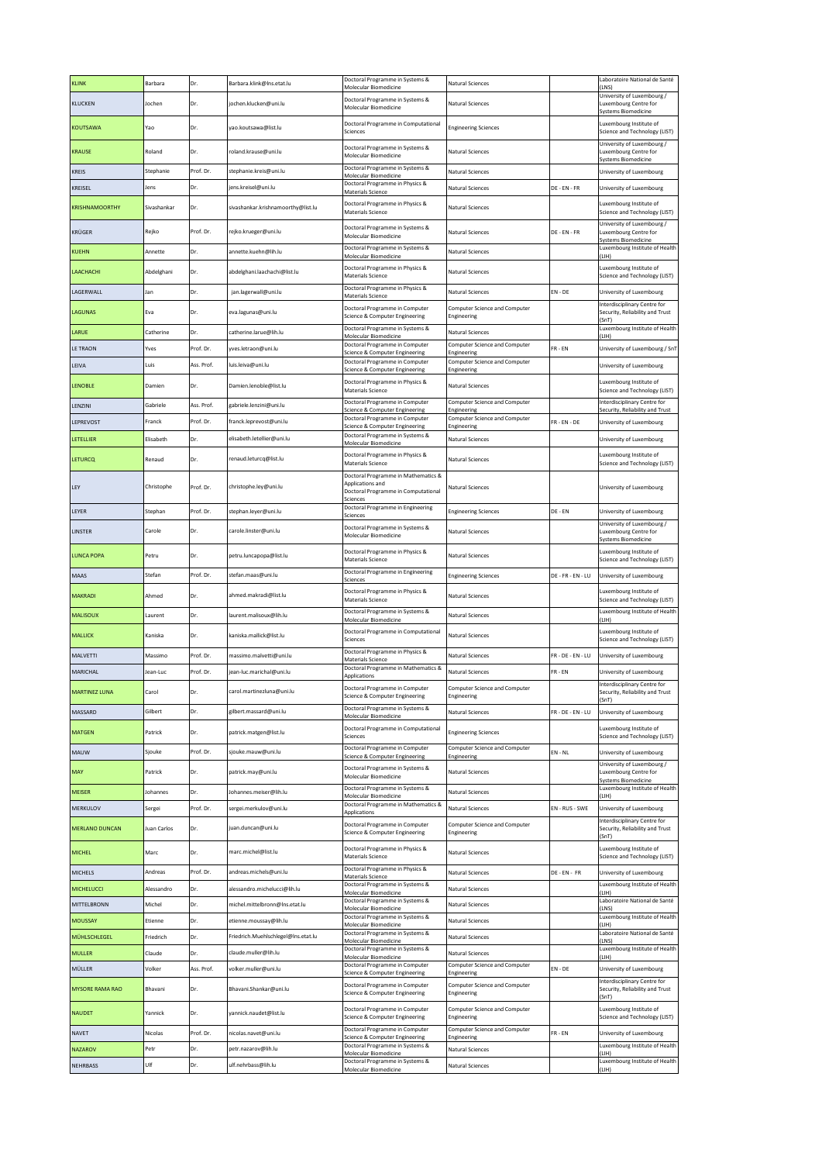| KLINK                 | Barbara     | Dr.        | Barbara.klink@Ins.etat.lu           | Doctoral Programme in Systems &<br>Molecular Biomedicine                                      | Natural Sciences                             |                     | Laboratoire National de Santé<br>(LNS)                                            |
|-----------------------|-------------|------------|-------------------------------------|-----------------------------------------------------------------------------------------------|----------------------------------------------|---------------------|-----------------------------------------------------------------------------------|
| KLUCKEN               | Jochen      | Dr.        | jochen.klucken@uni.lu               | Doctoral Programme in Systems &<br>Molecular Biomedicine                                      | Natural Sciences                             |                     | University of Luxembourg /<br>Luxembourg Centre for<br><b>Systems Biomedicine</b> |
| KOUTSAWA              | Yao         | Dr.        | yao.koutsawa@list.lu                | Doctoral Programme in Computational<br>Sciences                                               | <b>Engineering Sciences</b>                  |                     | Luxembourg Institute of<br>Science and Technology (LIST)                          |
| KRAUSE                | Roland      | Dr.        | roland.krause@uni.lu                | Doctoral Programme in Systems &<br>Molecular Biomedicine                                      | <b>Natural Sciences</b>                      |                     | University of Luxembourg /<br>Luxembourg Centre for<br><b>Systems Biomedicine</b> |
| KREIS                 | Stephanie   | Prof. Dr.  | stephanie.kreis@uni.lu              | Doctoral Programme in Systems &<br>Molecular Biomedicine                                      | <b>Natural Sciences</b>                      |                     | University of Luxembourg                                                          |
| KREISEL               | lens        | Dr.        | jens.kreisel@uni.lu                 | Doctoral Programme in Physics &<br>Materials Science                                          | Natural Sciences                             | DE - EN - FR        | University of Luxembourg                                                          |
| KRISHNAMOORTHY        | Sivashankar | Dr.        | sivashankar.krishnamoorthy@list.lu  | Doctoral Programme in Physics &<br><b>Materials Science</b>                                   | Natural Sciences                             |                     | Luxembourg Institute of<br>Science and Technology (LIST)                          |
| KRÜGER                | Rejko       | Prof. Dr.  | reiko.krueger@uni.lu                | Doctoral Programme in Systems &<br>Molecular Biomedicine                                      | <b>Natural Sciences</b>                      | DE - EN - FR        | University of Luxembourg /<br>Luxembourg Centre for<br>systems Biomedicine        |
| KUEHN                 | Annette     | Dr.        | annette.kuehn@lih.lu                | Doctoral Programme in Systems &<br>Molecular Biomedicine                                      | Natural Sciences                             |                     | Luxembourg Institute of Health<br>LIH)                                            |
| LAACHACHI             | Abdelghani  | Dr.        | abdelghani.laachachi@list.lu        | Doctoral Programme in Physics &<br><b>Materials Science</b>                                   | Natural Sciences                             |                     | uxembourg Institute of<br>Science and Technology (LIST)                           |
| LAGERWALL             | Jan         | Dr.        | jan.lagerwall@uni.lu                | Doctoral Programme in Physics &                                                               | <b>Natural Sciences</b>                      | $EN - DE$           | University of Luxembourg                                                          |
| LAGUNAS               | Eva         | Dr.        | eva.lagunas@uni.lu                  | Materials Science<br>Doctoral Programme in Computer<br>Science & Computer Engineering         | Computer Science and Computer<br>Engineering |                     | Interdisciplinary Centre for<br>Security, Reliability and Trust                   |
| LARUE                 | Catherine   | Dr.        | catherine.larue@lih.lu              | Doctoral Programme in Systems &                                                               | Natural Sciences                             |                     | (SnT)<br>Luxembourg Institute of Health                                           |
| LE TRAON              | Yves        | Prof. Dr.  | yves.letraon@uni.lu                 | Molecular Biomedicine<br>Doctoral Programme in Computer                                       | Computer Science and Computer                | FR-EN               | (LIH)<br>University of Luxembourg / Sn'l                                          |
| LEIVA                 | Luis        | Ass. Prof. | luis.leiva@uni.lu                   | Science & Computer Engineering<br>Doctoral Programme in Computer                              | Engineering<br>Computer Science and Computer |                     | University of Luxembourg                                                          |
| LENOBLE               | Damien      | Dr.        | Damien.lenoble@list.lu              | Science & Computer Engineering<br>Doctoral Programme in Physics &<br><b>Materials Science</b> | Engineering<br>Natural Sciences              |                     | Luxembourg Institute of<br>Science and Technology (LIST)                          |
| LENZINI               | Gabriele    | Ass. Prof. | gabriele.lenzini@uni.lu             | Doctoral Programme in Computer                                                                | Computer Science and Computer                |                     | Interdisciplinary Centre for                                                      |
| LEPREVOST             | Franck      | Prof. Dr.  | franck.leprevost@uni.lu             | Science & Computer Engineerin<br>Doctoral Programme in Computer                               | Engineerin<br>Computer Science and Computer  | FR - EN - DE        | Security, Reliability and Tru                                                     |
|                       |             |            |                                     | Science & Computer Engineering<br>Doctoral Programme in Systems &                             | Engineering                                  |                     | University of Luxembourg                                                          |
| LETELLIER             | Elisabeth   | Dr.        | elisabeth.letellier@uni.lu          | Molecular Biomedicine                                                                         | Natural Sciences                             |                     | University of Luxembourg                                                          |
| LETURCQ               | Renaud      | Dr.        | renaud.leturcq@list.lu              | Doctoral Programme in Physics &<br>Materials Science<br>Doctoral Programme in Mathematics &   | Natural Sciences                             |                     | uxembourg Institute of<br>Science and Technology (LIST)                           |
| LEY                   | Christophe  | Prof. Dr.  | christophe.ley@uni.lu               | Applications and<br>Doctoral Programme in Computational<br>Sciences                           | <b>Natural Sciences</b>                      |                     | University of Luxembourg                                                          |
| LEYER                 | Stephan     | Prof. Dr.  | stephan.leyer@uni.lu                | Doctoral Programme in Engineering<br>Sciences                                                 | <b>Engineering Sciences</b>                  | DE - EN             | University of Luxembourg                                                          |
| LINSTER               | Carole      | Dr.        | carole.linster@uni.lu               | Doctoral Programme in Systems &<br>Molecular Biomedicine                                      | Natural Sciences                             |                     | University of Luxembourg /<br>Luxembourg Centre for<br><b>Systems Biomedicine</b> |
| <b>LUNCA POPA</b>     | Petru       | Dr.        | petru.luncapopa@list.lu             | Doctoral Programme in Physics &<br><b>Materials Science</b>                                   | <b>Natural Sciences</b>                      |                     | Luxembourg Institute of<br>Science and Technology (LIST)                          |
| MAAS                  | Stefan      | Prof. Dr.  | stefan.maas@uni.lu                  | Doctoral Programme in Engineering<br>Sciences                                                 | <b>Engineering Sciences</b>                  | DE - FR - EN - LU   | University of Luxembourg                                                          |
| MAKRADI               | Ahmed       | Dr.        | ahmed.makradi@list.lu               | Doctoral Programme in Physics &<br>Materials Science                                          | Natural Sciences                             |                     | Luxembourg Institute of<br>Science and Technology (LIST)                          |
| MALISOUX              | Laurent     | Dr.        | laurent.malisoux@lih.lu             | Doctoral Programme in Systems &<br>Molecular Biomedicine                                      | <b>Natural Sciences</b>                      |                     | Luxembourg Institute of Health<br>ILIHI                                           |
| MALLICK               | Kaniska     | Dr.        | kaniska.mallick@list.lu             | Doctoral Programme in Computational<br>Sciences                                               | <b>Natural Sciences</b>                      |                     | Luxembourg Institute of<br>Science and Technology (LIST)                          |
| MALVETTI              | Massimo     | Prof. Dr.  | massimo.malvetti@uni.lu             | Doctoral Programme in Physics &<br>Materials Science                                          | Natural Sciences                             | FR - DE - EN - LU   | University of Luxembourg                                                          |
| MARICHAL              | lean-Luc    | Prof. Dr.  | jean-luc.marichal@uni.lu            | Doctoral Programme in Mathematics &<br>Applications                                           | <b>Natural Sciences</b>                      | FR-EN               | University of Luxembourg                                                          |
| <b>MARTINEZ LUNA</b>  | Carol       | Dr.        | carol.martinezluna@uni.lu           | Doctoral Programme in Computer<br>Science & Computer Engineering                              | Computer Science and Computer<br>Engineering |                     | Interdisciplinary Centre for<br>Security, Reliability and Trust<br>(SnT)          |
| MASSARD               | Gilbert     | Dr.        | gilbert.massard@uni.lu              | Doctoral Programme in Systems &<br>Molecular Biomedicine                                      | Natural Sciences                             | $FR - DE - EN - LU$ | University of Luxembourg                                                          |
| MATGEN                | Patrick     | Dr.        | patrick.matgen@list.lu              | Doctoral Programme in Computational<br>Sciences                                               | <b>Engineering Sciences</b>                  |                     | uxembourg Institute of<br>Science and Technology (LIST)                           |
| MAUW                  | Sjouke      | Prof. Dr.  | sjouke.mauw@uni.lu                  | Doctoral Programme in Computer<br>Science & Computer Engineering                              | Computer Science and Computer<br>Engineering | $EN - NL$           | University of Luxembourg                                                          |
| MAY                   | Patrick     | Dr.        | patrick.may@uni.lu                  | Doctoral Programme in Systems &<br>Molecular Biomedicine                                      | Natural Sciences                             |                     | University of Luxembourg /<br>Luxembourg Centre for                               |
| MEISER                | Johannes    | Dr.        | Johannes.meiser@lih.lu              | Doctoral Programme in Systems &                                                               | Natural Sciences                             |                     | Systems Biomedicine<br>Luxembourg Institute of Health                             |
| MERKULOV              | Sergei      | Prof. Dr.  | sergei.merkulov@uni.lu              | Molecular Biomedicine<br>Doctoral Programme in Mathematics &                                  | Natural Sciences                             | EN - RUS - SWE      | (LIH)<br>University of Luxembourg                                                 |
|                       |             |            |                                     | Applications<br>Doctoral Programme in Computer                                                | Computer Science and Computer                |                     | Interdisciplinary Centre for                                                      |
| <b>MERLANO DUNCAN</b> | Juan Carlos | Dr.        | juan.duncan@uni.lu                  | Science & Computer Engineering<br>Doctoral Programme in Physics &                             | Engineering                                  |                     | Security, Reliability and Trust<br>(SnT)<br>Luxembourg Institute of               |
| <b>MICHEL</b>         | Marc        | Dr.        | marc.michel@list.lu                 | Materials Science                                                                             | Natural Sciences                             |                     | Science and Technology (LIST)                                                     |
| <b>MICHELS</b>        | Andreas     | Prof. Dr.  | andreas.michels@uni.lu              | Doctoral Programme in Physics &<br>Materials Science                                          | Natural Sciences                             | DE - EN - FR        | University of Luxembourg                                                          |
| MICHELUCCI            | Alessandro  | Dr.        | alessandro.michelucci@lih.lu        | Doctoral Programme in Systems &<br>Molecular Biomedicine                                      | <b>Natural Sciences</b>                      |                     | Luxembourg Institute of Health<br>(LIH)                                           |
| MITTELBRONN           | Michel      | Dr.        | michel.mittelbronn@Ins.etat.lu      | Doctoral Programme in Systems &<br>Molecular Biomedicine                                      | Natural Sciences                             |                     | Laboratoire National de Santé<br>(LNS)                                            |
| MOUSSAY               | Etienne     | Dr.        | etienne.moussay@lih.lu              | Doctoral Programme in Systems &<br>Molecular Biomedicine                                      | Natural Sciences                             |                     | Luxembourg Institute of Health<br>(LIH)                                           |
| MÜHLSCHLEGEL          | Friedrich   | Dr.        | Friedrich.Muehlschlegel@Ins.etat.lu | Doctoral Programme in Systems &<br>Molecular Biomedicine                                      | Natural Sciences                             |                     | Laboratoire National de Santé<br>(LNS)                                            |
| MULLER                | Claude      | Dr.        | claude.muller@lih.lu                | Doctoral Programme in Systems &<br>Molecular Biomedicine                                      | <b>Natural Sciences</b>                      |                     | Luxembourg Institute of Health<br>(LIH)                                           |
| MÜLLER                | Volker      | Ass. Prof. | volker.muller@uni.lu                | Doctoral Programme in Computer<br>Science & Computer Engineering                              | Computer Science and Computer<br>Engineering | $EN - DE$           | University of Luxembourg                                                          |
| MYSORE RAMA RAO       | Bhavani     | Dr.        | Bhavani.Shankar@uni.lu              | Doctoral Programme in Computer<br>Science & Computer Engineering                              | Computer Science and Computer<br>Engineering |                     | Interdisciplinary Centre for<br>Security, Reliability and Trust<br>(SnT)          |
| NAUDET                | Yannick     | Dr.        | yannick.naudet@list.lu              | Doctoral Programme in Computer<br>Science & Computer Engineering                              | Computer Science and Computer<br>Engineering |                     | Luxembourg Institute of<br>Science and Technology (LIST)                          |
| NAVET                 | Nicolas     | Prof. Dr.  | nicolas.navet@uni.lu                | Doctoral Programme in Computer                                                                | Computer Science and Computer                | $FR - EN$           | University of Luxembourg                                                          |
| NAZAROV               | Petr        | Dr.        | petr.nazarov@lih.lu                 | Science & Computer Engineering<br>Doctoral Programme in Systems &                             | Engineering<br>Natural Sciences              |                     | Luxembourg Institute of Health                                                    |
|                       | Ulf         | Dr.        |                                     | Molecular Biomedicine<br>Doctoral Programme in Systems &                                      |                                              |                     | (LIH)<br>Luxembourg Institute of Health                                           |
| NEHRBASS              |             |            | ulf.nehrbass@lih.lu                 | Molecular Biomedicine                                                                         | Natural Sciences                             |                     | (LIH)                                                                             |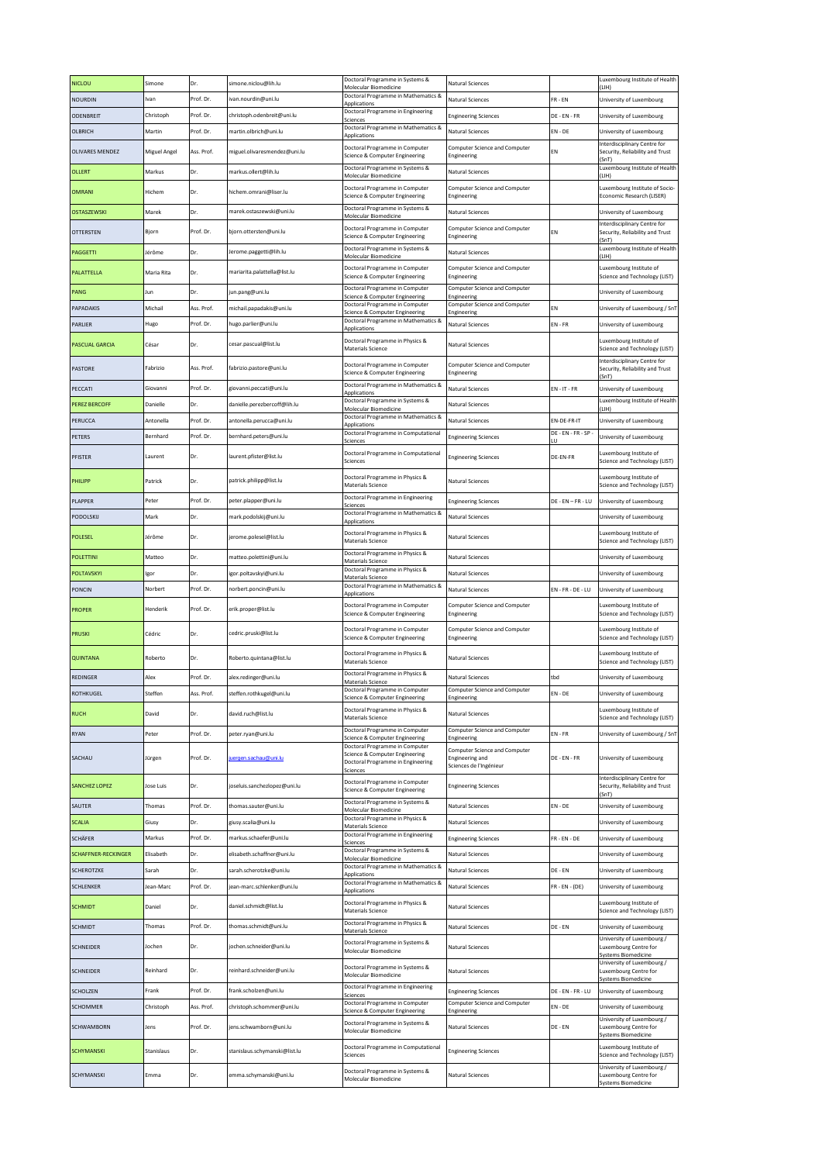| <b>NICLOU</b>        | Simone              | Dr.              | simone.niclou@lih.lu                                 | Doctoral Programme in Systems &<br>Molecular Biomedicine                                                          | <b>Natural Sciences</b>                                                            |                             | Luxembourg Institute of Health<br>(LIH)                                           |
|----------------------|---------------------|------------------|------------------------------------------------------|-------------------------------------------------------------------------------------------------------------------|------------------------------------------------------------------------------------|-----------------------------|-----------------------------------------------------------------------------------|
| NOURDIN              | Ivan                | Prof. Dr.        | ivan.nourdin@uni.lu                                  | Doctoral Programme in Mathematics &<br>Applications                                                               | Natural Sciences                                                                   | $FR - EN$                   | University of Luxembourg                                                          |
| ODENBREIT            | Christoph           | Prof. Dr.        | christoph.odenbreit@uni.lu                           | Doctoral Programme in Engineering<br>Sciences                                                                     | <b>Engineering Sciences</b>                                                        | DE - EN - FR                | University of Luxembourg                                                          |
| OLBRICH              | Martin              | Prof. Dr.        | martin.olbrich@uni.lu                                | Doctoral Programme in Mathematics &<br>Applications                                                               | Natural Sciences                                                                   | EN - DE                     | University of Luxembourg                                                          |
| OLIVARES MENDEZ      | Miguel Angel        | Ass. Prof.       | miguel.olivaresmendez@uni.lu                         | Doctoral Programme in Computer<br>Science & Computer Engineering                                                  | <b>Computer Science and Computer</b><br>Engineering                                | ΕN                          | Interdisciplinary Centre for<br>Security, Reliability and Trust<br>(SnT)          |
| OLLERT               | Markus              | Dr.              | markus.ollert@lih.lu                                 | Doctoral Programme in Systems &<br>Molecular Biomedicine                                                          | Natural Sciences                                                                   |                             | Luxembourg Institute of Health<br>(LIH)                                           |
| <b>OMRANI</b>        | Hichem              | Dr.              | hichem.omrani@liser.lu                               | Doctoral Programme in Computer<br>Science & Computer Engineering                                                  | Computer Science and Computer<br>Engineering                                       |                             | Luxembourg Institute of Socio-<br>Economic Research (LISER)                       |
| OSTASZEWSKI          | Marek               | Dr.              | marek.ostaszewski@uni.lu                             | Doctoral Programme in Systems &<br>Molecular Biomedicine                                                          | <b>Natural Sciences</b>                                                            |                             | University of Luxembourg                                                          |
| OTTERSTEN            | Bjorn               | Prof. Dr.        | bjorn.ottersten@uni.lu                               | Doctoral Programme in Computer<br>Science & Computer Engineering                                                  | Computer Science and Computer<br>Engineering                                       | FN                          | Interdisciplinary Centre for<br>Security, Reliability and Trust<br>(SnT)          |
| PAGGETTI             | Jérôme              | Dr.              | Jerome.paggetti@lih.lu                               | Doctoral Programme in Systems &<br>Molecular Biomedicine                                                          | Natural Sciences                                                                   |                             | Luxembourg Institute of Health<br>(LIH)                                           |
| PALATTELLA           | Maria Rita          | Dr.              | mariarita.palattella@list.lu                         | Doctoral Programme in Computer<br>Science & Computer Engineering                                                  | Computer Science and Computer<br>Engineering                                       |                             | Luxembourg Institute of<br>Science and Technology (LIST)                          |
| PANG                 | Jun                 | Dr.              | jun.pang@uni.lu                                      | Doctoral Programme in Computer<br>Science & Computer Engineering                                                  | Computer Science and Computer                                                      |                             | University of Luxembourg                                                          |
| PAPADAKIS            | Michail             | Ass. Prof.       | michail.papadakis@uni.lu                             | Doctoral Programme in Computer                                                                                    | Engineering<br>Computer Science and Computer                                       | EN                          | University of Luxembourg / SnT                                                    |
| PARLIER              | Hugo                | Prof. Dr.        | hugo.parlier@uni.lu                                  | Science & Computer Engineering<br>Doctoral Programme in Mathematics &                                             | Engineering<br><b>Natural Sciences</b>                                             | $EN - FR$                   | University of Luxembourg                                                          |
| PASCUAL GARCIA       | César               | Dr.              | cesar.pascual@list.lu                                | Applications<br>Doctoral Programme in Physics &<br>Materials Science                                              | Natural Sciences                                                                   |                             | Luxembourg Institute of<br>Science and Technology (LIST)                          |
|                      |                     |                  |                                                      | Doctoral Programme in Computer                                                                                    | Computer Science and Computer                                                      |                             | Interdisciplinary Centre for                                                      |
| PASTORE              | Fabrizio            | Ass. Prof.       | fabrizio.pastore@uni.lu                              | Science & Computer Engineering                                                                                    | Engineering                                                                        |                             | Security, Reliability and Trust<br>(SnT)                                          |
| PECCATI              | Giovanni            | Prof. Dr.        | giovanni.peccati@uni.lu                              | Doctoral Programme in Mathematics &<br>Applications                                                               | Natural Sciences                                                                   | $EN - IT - FR$              | University of Luxembourg                                                          |
| PEREZ BERCOFF        | Danielle            | Dr.              | danielle.perezbercoff@lih.lu                         | Doctoral Programme in Systems &<br>Molecular Biomedicine                                                          | <b>Natural Sciences</b>                                                            |                             | Luxembourg Institute of Health<br>(L H)                                           |
| PERUCCA              | Antonella           | Prof. Dr.        | antonella.perucca@uni.lu                             | Doctoral Programme in Mathematics &<br><b>Applications</b>                                                        | Natural Sciences                                                                   | EN-DE-FR-IT                 | University of Luxembourg                                                          |
| PETERS               | Bernhard            | Prof. Dr.        | bernhard.peters@uni.lu                               | Doctoral Programme in Computational<br>Sciences                                                                   | <b>Engineering Sciences</b>                                                        | DE - EN - FR - SP<br>$\cup$ | University of Luxembourg                                                          |
| PFISTER              | Laurent             | Dr.              | laurent.pfister@list.lu                              | Doctoral Programme in Computational                                                                               | <b>Engineering Sciences</b>                                                        | DE-EN-FR                    | Luxembourg Institute of                                                           |
| PHILIPP              | Patrick             | Dr.              | patrick.philipp@list.lu                              | Sciences<br>Doctoral Programme in Physics &                                                                       | Natural Sciences                                                                   |                             | Science and Technology (LIST)<br>Luxembourg Institute of                          |
|                      |                     |                  |                                                      | Materials Science<br>Doctoral Programme in Engineering                                                            |                                                                                    |                             | Science and Technology (LIST)                                                     |
| PLAPPER              | Peter               | Prof. Dr.        | peter.plapper@uni.lu                                 | Sciences                                                                                                          | <b>Engineering Sciences</b>                                                        | DE - EN – FR - LU           | University of Luxembourg                                                          |
| PODOLSKIJ            | Mark                | Dr.              | mark.podolskij@uni.lu                                | Doctoral Programme in Mathematics &<br>Applications                                                               | Natural Sciences                                                                   |                             | University of Luxembourg                                                          |
| POLESEL              | Jérôme              | Dr.              | jerome.polesel@list.lu                               | Doctoral Programme in Physics &<br>Materials Science                                                              | Natural Sciences                                                                   |                             | Luxembourg Institute of<br>Science and Technology (LIST)                          |
| POLETTINI            | Matteo              | Dr.              | matteo.polettini@uni.lu                              | Doctoral Programme in Physics &<br><b>Materials Science</b>                                                       | Natural Sciences                                                                   |                             | University of Luxembourg                                                          |
| POLTAVSKYI           | Igor                | Dr.              | igor.poltavskyi@uni.lu                               | Doctoral Programme in Physics &<br>Materials Science                                                              | <b>Natural Sciences</b>                                                            |                             | University of Luxembourg                                                          |
| PONCIN               | Norbert             | Prof. Dr.        | norbert.poncin@uni.lu                                | Doctoral Programme in Mathematics &<br>Applications                                                               | <b>Natural Sciences</b>                                                            | $EN - FR - DE - LU$         | University of Luxembourg                                                          |
|                      |                     |                  |                                                      |                                                                                                                   |                                                                                    |                             |                                                                                   |
| <b>PROPER</b>        | Henderik            | Prof. Dr.        | erik.proper@list.lu                                  | Doctoral Programme in Computer<br>Science & Computer Engineering                                                  | Computer Science and Computer<br>Engineering                                       |                             | Luxembourg Institute of<br>Science and Technology (LIST)                          |
| PRUSKI               | Cédric              | Dr.              | cedric.pruski@list.lu                                | Doctoral Programme in Computer<br>Science & Computer Engineering                                                  | Computer Science and Computer<br>Engineering                                       |                             | Luxembourg Institute of<br>Science and Technology (LIST)                          |
| <b>QUINTANA</b>      | Roberto             | Dr.              | Roberto.quintana@list.lu                             | Doctoral Programme in Physics &<br>Materials Science                                                              | <b>Natural Sciences</b>                                                            |                             | Luxembourg Institute of<br>Science and Technology (LIST)                          |
| REDINGER             | Alex                | Prof. Dr.        | alex.redinger@uni.lu                                 | Doctoral Programme in Physics &                                                                                   | Natural Sciences                                                                   | tbd                         | University of Luxembourg                                                          |
| <b>OTHKUGEL</b>      | Steffen             | Ass. Prof.       | steffen.rothkugel@uni.lu                             | Materials Science<br>Doctoral Programme in Computer                                                               | Computer Science and Computer                                                      | N - DE                      | University of Luxembourg                                                          |
|                      |                     |                  |                                                      | Science & Computer Engineering<br>Doctoral Programme in Physics &                                                 | Engineering                                                                        |                             | Luxembourg Institute of                                                           |
| <b>RUCH</b>          | David               | Dr.              | david.ruch@list.lu                                   | Materials Science<br>Doctoral Programme in Computer                                                               | Natural Sciences<br>Computer Science and Computer                                  |                             | Science and Technology (LIST)                                                     |
| RYAN                 | Peter               | Prof. Dr.        | peter.ryan@uni.lu                                    | Science & Computer Engineering                                                                                    | Engineering                                                                        | $EN - FR$                   | University of Luxembourg / SnT                                                    |
| SACHAU               | Jürgen              | Prof. Dr.        | uergen.sachau@uni.lu                                 | Doctoral Programme in Computer<br>Science & Computer Engineering<br>Doctoral Programme in Engineering<br>Sciences | Computer Science and Computer<br><b>Engineering and</b><br>Sciences de l'Ingénieur | DE - EN - FR                | University of Luxembourg                                                          |
| <b>SANCHEZ LOPEZ</b> | Jose Luis           | Dr.              | joseluis.sanchezlopez@uni.lu                         | Doctoral Programme in Computer<br>Science & Computer Engineering                                                  | <b>Engineering Sciences</b>                                                        |                             | Interdisciplinary Centre for<br>Security, Reliability and Trust                   |
| SAUTER               | Thomas              | Prof. Dr.        | thomas.sauter@uni.lu                                 | Doctoral Programme in Systems &                                                                                   | Natural Sciences                                                                   | EN - DE                     | (SnT)<br>University of Luxembourg                                                 |
|                      | Giusy               |                  |                                                      | <b>Molecular Biomedicine</b><br>Doctoral Programme in Physics &                                                   |                                                                                    |                             |                                                                                   |
| SCALIA               | Markus              | Dr.              | giusy.scalia@uni.lu<br>markus.schaefer@uni.lu        | Materials Science<br>Doctoral Programme in Engineering                                                            | Natural Sciences                                                                   |                             | University of Luxembourg                                                          |
| SCHÄFER              |                     | Prof. Dr.        |                                                      | Sciences<br>Doctoral Programme in Systems &                                                                       | <b>Engineering Sciences</b>                                                        | FR - EN - DE                | University of Luxembourg                                                          |
| SCHAFFNER-RECKINGER  | Elisabeth           | Dr.              | elisabeth.schaffner@uni.lu                           | Molecular Biomedicine<br>Doctoral Programme in Mathematics &                                                      | <b>Natural Sciences</b>                                                            |                             | University of Luxembourg                                                          |
| <b>SCHEROTZKE</b>    | Sarah               | Dr.              | sarah.scherotzke@uni.lu                              | Applications<br>Doctoral Programme in Mathematics &                                                               | Natural Sciences                                                                   | DE - EN                     | University of Luxembourg                                                          |
| SCHLENKER<br>SCHMIDT | Jean-Marc<br>Daniel | Prof. Dr.<br>Dr. | jean-marc.schlenker@uni.lu<br>daniel.schmidt@list.lu | Applications<br>Doctoral Programme in Physics &                                                                   | Natural Sciences<br><b>Natural Sciences</b>                                        | FR - EN - (DE)              | University of Luxembourg<br>Luxembourg Institute of                               |
|                      |                     |                  |                                                      | Materials Science<br>Doctoral Programme in Physics &                                                              |                                                                                    |                             | Science and Technology (LIST)                                                     |
| SCHMIDT              | Thomas              | Prof. Dr.        | thomas.schmidt@uni.lu                                | Materials Science                                                                                                 | Natural Sciences                                                                   | DE - EN                     | University of Luxembourg<br>University of Luxembourg /                            |
| SCHNEIDER            | Jochen              | Dr.              | jochen.schneider@uni.lu                              | Doctoral Programme in Systems &<br>Molecular Biomedicine                                                          | Natural Sciences                                                                   |                             | Luxembourg Centre for<br><b>Systems Biomedicine</b><br>University of Luxembourg / |
| SCHNEIDER            | Reinhard            | Dr.              | reinhard.schneider@uni.lu                            | Doctoral Programme in Systems &<br>Molecular Biomedicine                                                          | Natural Sciences                                                                   |                             | Luxembourg Centre for<br><b>Systems Biomedicine</b>                               |
| SCHOLZEN             | Frank               | Prof. Dr.        | frank.scholzen@uni.lu                                | Doctoral Programme in Engineering<br>Sciences                                                                     | <b>Engineering Sciences</b>                                                        | DE - EN - FR - LU           | University of Luxembourg                                                          |
| SCHOMMER             | Christoph           | Ass. Prof.       | christoph.schommer@uni.lu                            | Doctoral Programme in Computer<br>Science & Computer Engineering                                                  | Computer Science and Computer<br>Engineering                                       | EN - DE                     | University of Luxembourg                                                          |
| SCHWAMBORN           | Jens                | Prof. Dr.        | jens.schwamborn@uni.lu                               | Doctoral Programme in Systems &<br>Molecular Biomedicine                                                          | <b>Natural Sciences</b>                                                            | DE - EN                     | University of Luxembourg /<br>Luxembourg Centre for<br><b>Systems Biomedicine</b> |
| SCHYMANSKI           | Stanislaus          | Dr.              | stanislaus.schymanski@list.lu                        | Doctoral Programme in Computational<br>Sciences                                                                   | <b>Engineering Sciences</b>                                                        |                             | Luxembourg Institute of<br>Science and Technology (LIST)                          |
| SCHYMANSKI           | Emma                | Dr.              | emma.schymanski@uni.lu                               | Doctoral Programme in Systems &<br>Molecular Biomedicine                                                          | Natural Sciences                                                                   |                             | University of Luxembourg /<br>Luxembourg Centre for<br>Systems Biomedicine        |